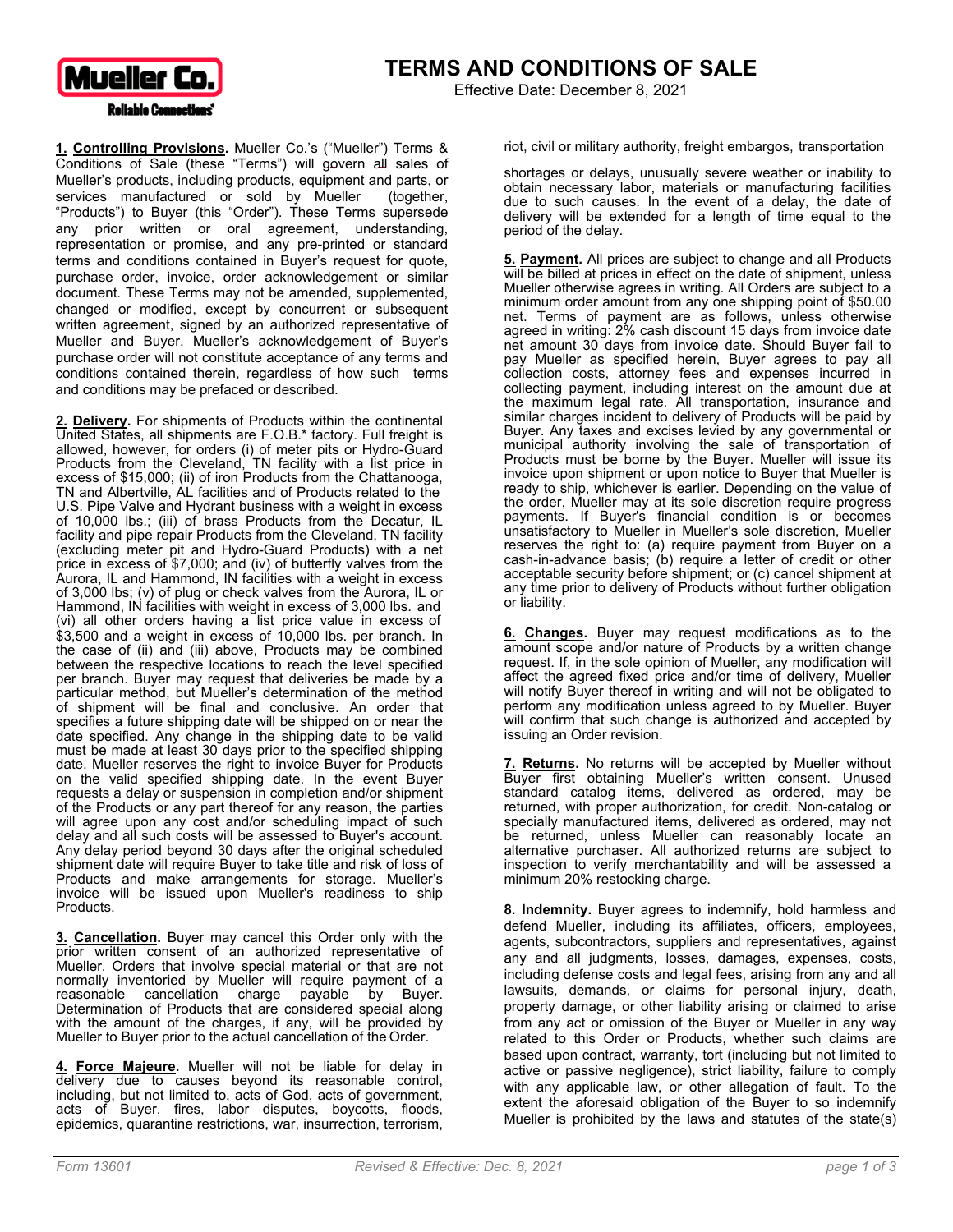

Effective Date: December 8, 2021

**1. Controlling Provisions.** Mueller Co.'s ("Mueller") Terms & Conditions of Sale (these "Terms") will govern all sales of Mueller's products, including products, equipment and parts, or services manufactured or sold by Mueller (together, "Products") to Buyer (this "Order"). These Terms supersede any prior written or oral agreement, understanding, representation or promise, and any pre-printed or standard terms and conditions contained in Buyer's request for quote, purchase order, invoice, order acknowledgement or similar document. These Terms may not be amended, supplemented, changed or modified, except by concurrent or subsequent written agreement, signed by an authorized representative of Mueller and Buyer. Mueller's acknowledgement of Buyer's purchase order will not constitute acceptance of any terms and conditions contained therein, regardless of how such terms and conditions may be prefaced or described.

**2. Delivery.** For shipments of Products within the continental United States, all shipments are F.O.B.\* factory. Full freight is allowed, however, for orders (i) of meter pits or Hydro-Guard Products from the Cleveland, TN facility with a list price in excess of \$15,000; (ii) of iron Products from the Chattanooga, TN and Albertville, AL facilities and of Products related to the U.S. Pipe Valve and Hydrant business with a weight in excess of 10,000 lbs.; (iii) of brass Products from the Decatur, IL facility and pipe repair Products from the Cleveland, TN facility (excluding meter pit and Hydro-Guard Products) with a net price in excess of \$7,000; and (iv) of butterfly valves from the Aurora, IL and Hammond, IN facilities with a weight in excess of 3,000 lbs; (v) of plug or check valves from the Aurora, IL or Hammond, IN facilities with weight in excess of 3,000 lbs. and (vi) all other orders having a list price value in excess of \$3,500 and a weight in excess of 10,000 lbs. per branch. In the case of (ii) and (iii) above, Products may be combined between the respective locations to reach the level specified per branch. Buyer may request that deliveries be made by a particular method, but Mueller's determination of the method of shipment will be final and conclusive. An order that specifies a future shipping date will be shipped on or near the date specified. Any change in the shipping date to be valid must be made at least 30 days prior to the specified shipping date. Mueller reserves the right to invoice Buyer for Products on the valid specified shipping date. In the event Buyer requests a delay or suspension in completion and/or shipment of the Products or any part thereof for any reason, the parties will agree upon any cost and/or scheduling impact of such delay and all such costs will be assessed to Buyer's account. Any delay period beyond 30 days after the original scheduled shipment date will require Buyer to take title and risk of loss of Products and make arrangements for storage. Mueller's invoice will be issued upon Mueller's readiness to ship Products.

**3. Cancellation.** Buyer may cancel this Order only with the prior written consent of an authorized representative of Mueller. Orders that involve special material or that are not normally inventoried by Mueller will require payment of a reasonable cancellation charge payable by Buyer. Determination of Products that are considered special along with the amount of the charges, if any, will be provided by Mueller to Buyer prior to the actual cancellation of the Order.

**4. Force Majeure.** Mueller will not be liable for delay in delivery due to causes beyond its reasonable control, including, but not limited to, acts of God, acts of government, acts of Buyer, fires, labor disputes, boycotts, floods, epidemics, quarantine restrictions, war, insurrection, terrorism, riot, civil or military authority, freight embargos, transportation

shortages or delays, unusually severe weather or inability to obtain necessary labor, materials or manufacturing facilities due to such causes. In the event of a delay, the date of delivery will be extended for a length of time equal to the period of the delay.

**5. Payment.** All prices are subject to change and all Products will be billed at prices in effect on the date of shipment, unless Mueller otherwise agrees in writing. All Orders are subject to a minimum order amount from any one shipping point of \$50.00 net. Terms of payment are as follows, unless otherwise agreed in writing: 2% cash discount 15 days from invoice date net amount 30 days from invoice date. Should Buyer fail to pay Mueller as specified herein, Buyer agrees to pay all collection costs, attorney fees and expenses incurred in collecting payment, including interest on the amount due at the maximum legal rate. All transportation, insurance and similar charges incident to delivery of Products will be paid by Buyer. Any taxes and excises levied by any governmental or municipal authority involving the sale of transportation of Products must be borne by the Buyer. Mueller will issue its invoice upon shipment or upon notice to Buyer that Mueller is ready to ship, whichever is earlier. Depending on the value of the order, Mueller may at its sole discretion require progress payments. If Buyer's financial condition is or becomes unsatisfactory to Mueller in Mueller's sole discretion, Mueller reserves the right to: (a) require payment from Buyer on a cash-in-advance basis; (b) require a letter of credit or other acceptable security before shipment; or (c) cancel shipment at any time prior to delivery of Products without further obligation or liability.

**6. Changes.** Buyer may request modifications as to the amount scope and/or nature of Products by a written change request. If, in the sole opinion of Mueller, any modification will affect the agreed fixed price and/or time of delivery, Mueller will notify Buyer thereof in writing and will not be obligated to perform any modification unless agreed to by Mueller. Buyer will confirm that such change is authorized and accepted by issuing an Order revision.

**7. Returns.** No returns will be accepted by Mueller without Buyer first obtaining Mueller's written consent. Unused standard catalog items, delivered as ordered, may be returned, with proper authorization, for credit. Non-catalog or specially manufactured items, delivered as ordered, may not be returned, unless Mueller can reasonably locate an alternative purchaser. All authorized returns are subject to inspection to verify merchantability and will be assessed a minimum 20% restocking charge.

**8. Indemnity.** Buyer agrees to indemnify, hold harmless and defend Mueller, including its affiliates, officers, employees, agents, subcontractors, suppliers and representatives, against any and all judgments, losses, damages, expenses, costs, including defense costs and legal fees, arising from any and all lawsuits, demands, or claims for personal injury, death, property damage, or other liability arising or claimed to arise from any act or omission of the Buyer or Mueller in any way related to this Order or Products, whether such claims are based upon contract, warranty, tort (including but not limited to active or passive negligence), strict liability, failure to comply with any applicable law, or other allegation of fault. To the extent the aforesaid obligation of the Buyer to so indemnify Mueller is prohibited by the laws and statutes of the state(s)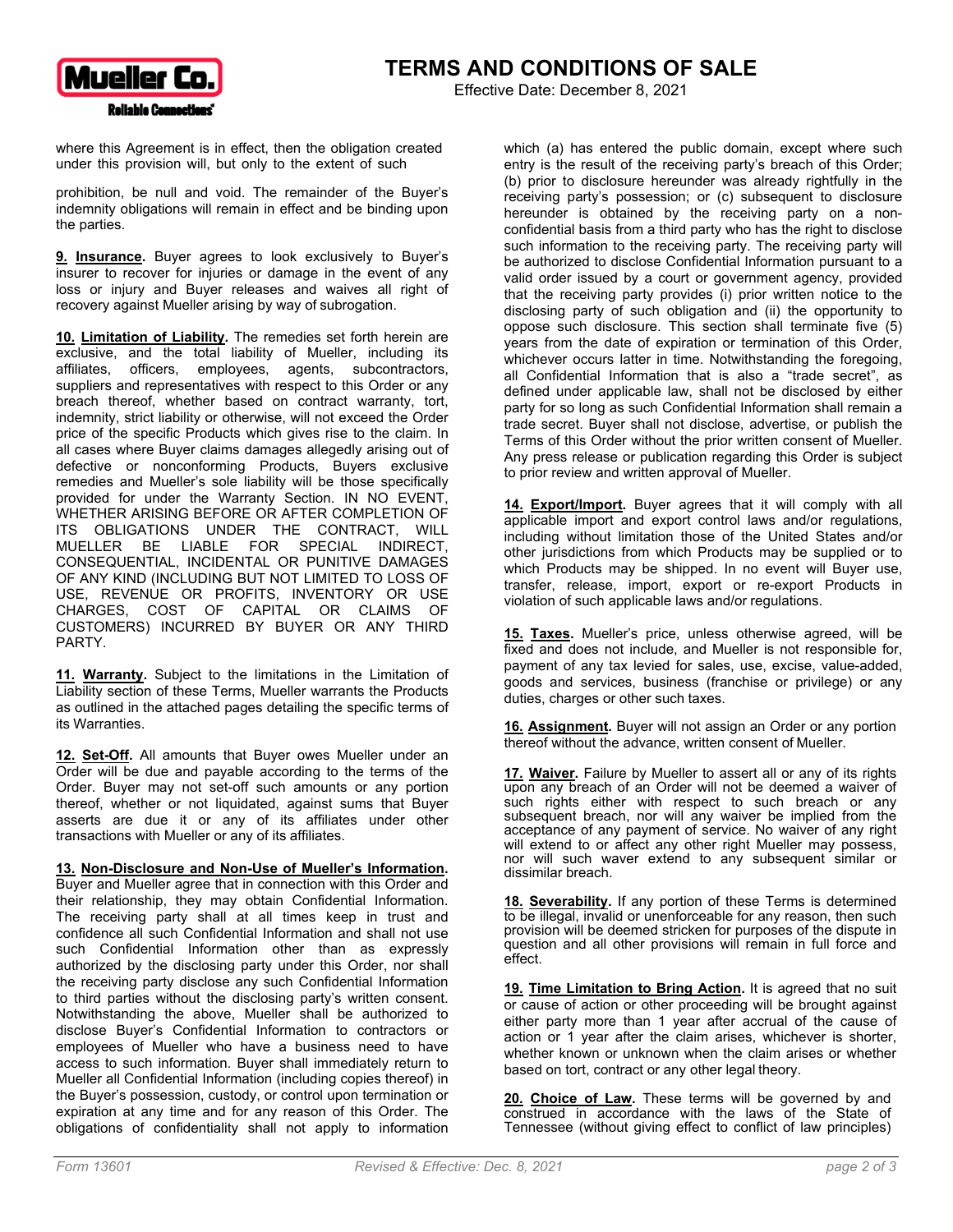

Effective Date: December 8, 2021

where this Agreement is in effect, then the obligation created under this provision will, but only to the extent of such

prohibition, be null and void. The remainder of the Buyer's indemnity obligations will remain in effect and be binding upon the parties.

**9. Insurance.** Buyer agrees to look exclusively to Buyer's insurer to recover for injuries or damage in the event of any loss or injury and Buyer releases and waives all right of recovery against Mueller arising by way of subrogation.

**10. Limitation of Liability.** The remedies set forth herein are exclusive, and the total liability of Mueller, including its affiliates, officers, employees, agents, subcontractors, suppliers and representatives with respect to this Order or any breach thereof, whether based on contract warranty, tort, indemnity, strict liability or otherwise, will not exceed the Order price of the specific Products which gives rise to the claim. In all cases where Buyer claims damages allegedly arising out of defective or nonconforming Products, Buyers exclusive remedies and Mueller's sole liability will be those specifically provided for under the Warranty Section. IN NO EVENT, WHETHER ARISING BEFORE OR AFTER COMPLETION OF ITS OBLIGATIONS UNDER THE CONTRACT, WILL MUELLER BE LIABLE FOR SPECIAL INDIRECT, CONSEQUENTIAL, INCIDENTAL OR PUNITIVE DAMAGES OF ANY KIND (INCLUDING BUT NOT LIMITED TO LOSS OF USE, REVENUE OR PROFITS, INVENTORY OR USE CHARGES, COST OF CAPITAL OR CLAIMS OF CUSTOMERS) INCURRED BY BUYER OR ANY THIRD PARTY.

**11. Warranty.** Subject to the limitations in the Limitation of Liability section of these Terms, Mueller warrants the Products as outlined in the attached pages detailing the specific terms of its Warranties.

**12. Set-Off.** All amounts that Buyer owes Mueller under an Order will be due and payable according to the terms of the Order. Buyer may not set-off such amounts or any portion thereof, whether or not liquidated, against sums that Buyer asserts are due it or any of its affiliates under other transactions with Mueller or any of its affiliates.

**13. Non-Disclosure and Non-Use of Mueller's Information.** 

Buyer and Mueller agree that in connection with this Order and their relationship, they may obtain Confidential Information. The receiving party shall at all times keep in trust and confidence all such Confidential Information and shall not use such Confidential Information other than as expressly authorized by the disclosing party under this Order, nor shall the receiving party disclose any such Confidential Information to third parties without the disclosing party's written consent. Notwithstanding the above, Mueller shall be authorized to disclose Buyer's Confidential Information to contractors or employees of Mueller who have a business need to have access to such information. Buyer shall immediately return to Mueller all Confidential Information (including copies thereof) in the Buyer's possession, custody, or control upon termination or expiration at any time and for any reason of this Order. The obligations of confidentiality shall not apply to information which (a) has entered the public domain, except where such entry is the result of the receiving party's breach of this Order; (b) prior to disclosure hereunder was already rightfully in the receiving party's possession; or (c) subsequent to disclosure hereunder is obtained by the receiving party on a nonconfidential basis from a third party who has the right to disclose such information to the receiving party. The receiving party will be authorized to disclose Confidential Information pursuant to a valid order issued by a court or government agency, provided that the receiving party provides (i) prior written notice to the disclosing party of such obligation and (ii) the opportunity to oppose such disclosure. This section shall terminate five (5) years from the date of expiration or termination of this Order, whichever occurs latter in time. Notwithstanding the foregoing, all Confidential Information that is also a "trade secret", as defined under applicable law, shall not be disclosed by either party for so long as such Confidential Information shall remain a trade secret. Buyer shall not disclose, advertise, or publish the Terms of this Order without the prior written consent of Mueller. Any press release or publication regarding this Order is subject to prior review and written approval of Mueller.

**14. Export/Import.** Buyer agrees that it will comply with all applicable import and export control laws and/or regulations, including without limitation those of the United States and/or other jurisdictions from which Products may be supplied or to which Products may be shipped. In no event will Buyer use, transfer, release, import, export or re-export Products in violation of such applicable laws and/or regulations.

**15. Taxes.** Mueller's price, unless otherwise agreed, will be fixed and does not include, and Mueller is not responsible for, payment of any tax levied for sales, use, excise, value-added, goods and services, business (franchise or privilege) or any duties, charges or other such taxes.

**16. Assignment.** Buyer will not assign an Order or any portion thereof without the advance, written consent of Mueller.

**17. Waiver.** Failure by Mueller to assert all or any of its rights upon any breach of an Order will not be deemed a waiver of such rights either with respect to such breach or any subsequent breach, nor will any waiver be implied from the acceptance of any payment of service. No waiver of any right will extend to or affect any other right Mueller may possess, nor will such waver extend to any subsequent similar or dissimilar breach.

**18. Severability.** If any portion of these Terms is determined to be illegal, invalid or unenforceable for any reason, then such provision will be deemed stricken for purposes of the dispute in question and all other provisions will remain in full force and effect.

**19. Time Limitation to Bring Action.** It is agreed that no suit or cause of action or other proceeding will be brought against either party more than 1 year after accrual of the cause of action or 1 year after the claim arises, whichever is shorter, whether known or unknown when the claim arises or whether based on tort, contract or any other legal theory.

**20. Choice of Law.** These terms will be governed by and construed in accordance with the laws of the State of Tennessee (without giving effect to conflict of law principles)